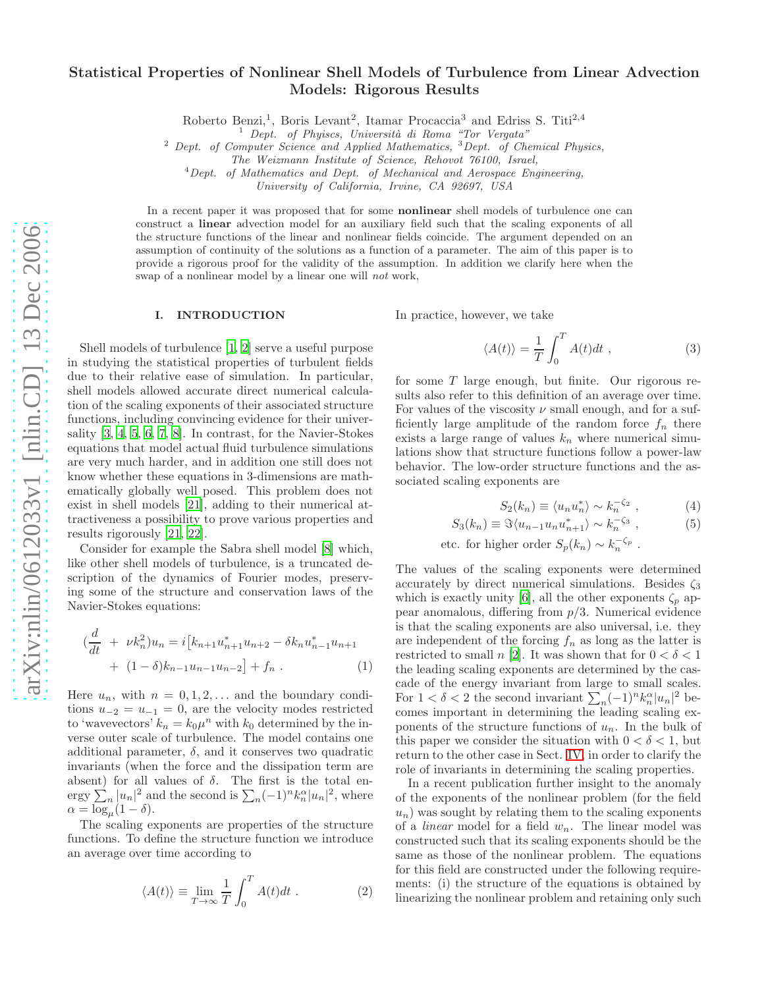# Statistical Properties of Nonlinear Shell Models of Turbulence from Linear Advection Models: Rigorous Results

Roberto Benzi,<sup>1</sup>, Boris Levant<sup>2</sup>, Itamar Procaccia<sup>3</sup> and Edriss S. Titi<sup>2,4</sup>

 $2$  Dept. of Computer Science and Applied Mathematics,  $3$  Dept. of Chemical Physics,

The Weizmann Institute of Science, Rehovot 76100, Israel,

 $4$ Dept. of Mathematics and Dept. of Mechanical and Aerospace Engineering,

University of California, Irvine, CA 92697, USA

In a recent paper it was proposed that for some **nonlinear** shell models of turbulence one can construct a linear advection model for an auxiliary field such that the scaling exponents of all the structure functions of the linear and nonlinear fields coincide. The argument depended on an assumption of continuity of the solutions as a function of a parameter. The aim of this paper is to provide a rigorous proof for the validity of the assumption. In addition we clarify here when the swap of a nonlinear model by a linear one will not work,

# I. INTRODUCTION

Shell models of turbulence [\[1](#page-6-0), [2\]](#page-6-1) serve a useful purpose in studying the statistical properties of turbulent fields due to their relative ease of simulation. In particular, shell models allowed accurate direct numerical calculation of the scaling exponents of their associated structure functions, including convincing evidence for their universality [\[3](#page-6-2), [4](#page-6-3), [5,](#page-6-4) [6,](#page-6-5) [7,](#page-6-6) [8\]](#page-6-7). In contrast, for the Navier-Stokes equations that model actual fluid turbulence simulations are very much harder, and in addition one still does not know whether these equations in 3-dimensions are mathematically globally well posed. This problem does not exist in shell models [\[21\]](#page-6-8), adding to their numerical attractiveness a possibility to prove various properties and results rigorously [\[21,](#page-6-8) [22\]](#page-6-9).

Consider for example the Sabra shell model [\[8](#page-6-7)] which, like other shell models of turbulence, is a truncated description of the dynamics of Fourier modes, preserving some of the structure and conservation laws of the Navier-Stokes equations:

<span id="page-0-1"></span>
$$
\left(\frac{d}{dt} + \nu k_n^2\right)u_n = i\left[k_{n+1}u_{n+1}^*u_{n+2} - \delta k_n u_{n-1}^*u_{n+1}\right] + (1 - \delta)k_{n-1}u_{n-1}u_{n-2}\right] + f_n.
$$
 (1)

Here  $u_n$ , with  $n = 0, 1, 2, \ldots$  and the boundary conditions  $u_{-2} = u_{-1} = 0$ , are the velocity modes restricted to 'wavevectors'  $k_n = k_0 \mu^n$  with  $k_0$  determined by the inverse outer scale of turbulence. The model contains one additional parameter,  $\delta$ , and it conserves two quadratic invariants (when the force and the dissipation term are absent) for all values of  $\delta$ . The first is the total energy  $\sum_{n} |u_n|^2$  and the second is  $\sum_{n} (-1)^n k_n^{\alpha} |u_n|^2$ , where  $\alpha = \log_{\mu}(1-\delta).$ 

The scaling exponents are properties of the structure functions. To define the structure function we introduce an average over time according to

$$
\langle A(t) \rangle \equiv \lim_{T \to \infty} \frac{1}{T} \int_0^T A(t) dt . \tag{2}
$$

In practice, however, we take

<span id="page-0-2"></span>
$$
\langle A(t) \rangle = \frac{1}{T} \int_0^T A(t) dt , \qquad (3)
$$

for some  $T$  large enough, but finite. Our rigorous results also refer to this definition of an average over time. For values of the viscosity  $\nu$  small enough, and for a sufficiently large amplitude of the random force  $f_n$  there exists a large range of values  $k_n$  where numerical simulations show that structure functions follow a power-law behavior. The low-order structure functions and the associated scaling exponents are

<span id="page-0-0"></span>
$$
S_2(k_n) \equiv \langle u_n u_n^* \rangle \sim k_n^{-\zeta_2} \;, \tag{4}
$$

$$
S_3(k_n) \equiv \Im \langle u_{n-1} u_n u_{n+1}^* \rangle \sim k_n^{-\zeta_3} , \qquad (5)
$$

etc. for higher order  $S_p(k_n) \sim k_n^{-\zeta_p}$ .

The values of the scaling exponents were determined accurately by direct numerical simulations. Besides  $\zeta_3$ which is exactly unity [\[6](#page-6-5)], all the other exponents  $\zeta_p$  appear anomalous, differing from  $p/3$ . Numerical evidence is that the scaling exponents are also universal, i.e. they are independent of the forcing  $f_n$  as long as the latter is restricted to small n [\[2\]](#page-6-1). It was shown that for  $0 < \delta < 1$ the leading scaling exponents are determined by the cascade of the energy invariant from large to small scales. For  $1 < \delta < 2$  the second invariant  $\sum_{n} (-1)^n k_n^{\alpha} |u_n|^2$  becomes important in determining the leading scaling exponents of the structure functions of  $u_n$ . In the bulk of this paper we consider the situation with  $0 < \delta < 1$ , but return to the other case in Sect. [IV,](#page-5-0) in order to clarify the role of invariants in determining the scaling properties.

In a recent publication further insight to the anomaly of the exponents of the nonlinear problem (for the field  $u_n$ ) was sought by relating them to the scaling exponents of a *linear* model for a field  $w_n$ . The linear model was constructed such that its scaling exponents should be the same as those of the nonlinear problem. The equations for this field are constructed under the following requirements: (i) the structure of the equations is obtained by linearizing the nonlinear problem and retaining only such

<sup>&</sup>lt;sup>1</sup> Dept. of Phyiscs, Università di Roma "Tor Vergata"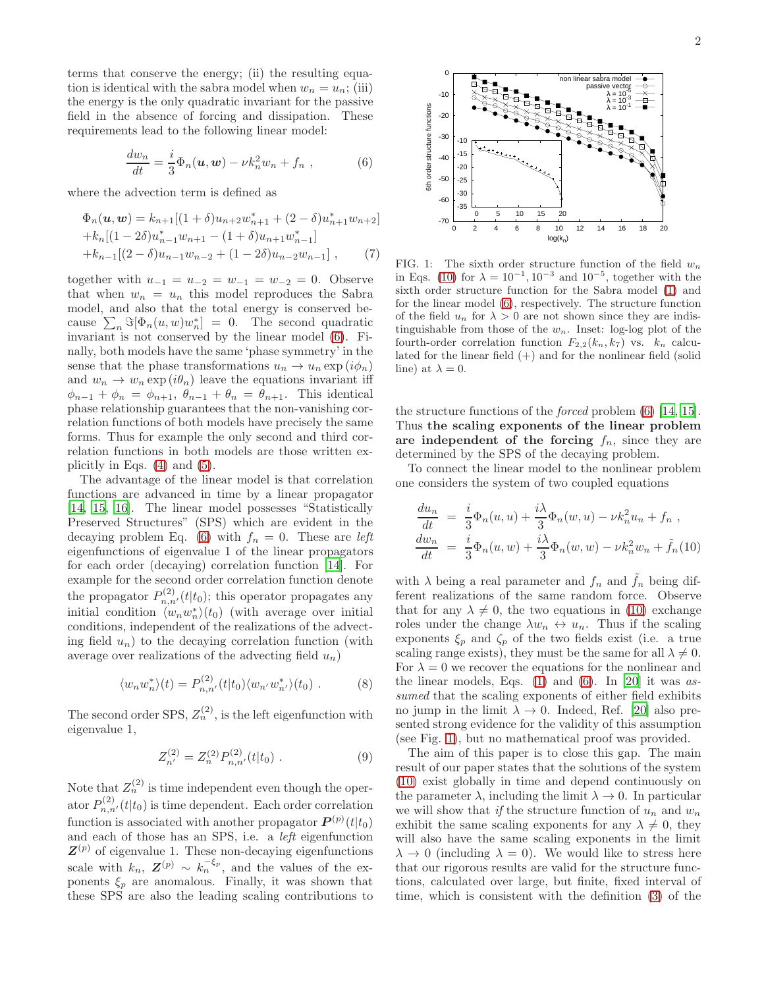terms that conserve the energy; (ii) the resulting equation is identical with the sabra model when  $w_n = u_n$ ; (iii) the energy is the only quadratic invariant for the passive field in the absence of forcing and dissipation. These requirements lead to the following linear model:

<span id="page-1-0"></span>
$$
\frac{dw_n}{dt} = \frac{i}{3}\Phi_n(\boldsymbol{u}, \boldsymbol{w}) - \nu k_n^2 w_n + f_n , \qquad (6)
$$

where the advection term is defined as

<span id="page-1-3"></span>
$$
\Phi_n(\mathbf{u}, \mathbf{w}) = k_{n+1}[(1+\delta)u_{n+2}w_{n+1}^* + (2-\delta)u_{n+1}^*w_{n+2}]
$$
  
+ $k_n[(1-2\delta)u_{n-1}^*w_{n+1} - (1+\delta)u_{n+1}w_{n-1}^*]$   
+ $k_{n-1}[(2-\delta)u_{n-1}w_{n-2} + (1-2\delta)u_{n-2}w_{n-1}],$  (7)

together with  $u_{-1} = u_{-2} = w_{-1} = w_{-2} = 0$ . Observe that when  $w_n = u_n$  this model reproduces the Sabra model, and also that the total energy is conserved because  $\sum_n \Im[\Phi_n(u, w) w_n^*] = 0$ . The second quadratic invariant is not conserved by the linear model [\(6\)](#page-1-0). Finally, both models have the same 'phase symmetry' in the sense that the phase transformations  $u_n \to u_n \exp(i\phi_n)$ and  $w_n \to w_n \exp(i\theta_n)$  leave the equations invariant iff  $\phi_{n-1} + \phi_n = \phi_{n+1}, \theta_{n-1} + \theta_n = \theta_{n+1}.$  This identical phase relationship guarantees that the non-vanishing correlation functions of both models have precisely the same forms. Thus for example the only second and third correlation functions in both models are those written explicitly in Eqs. [\(4\)](#page-0-0) and [\(5\)](#page-0-0).

The advantage of the linear model is that correlation functions are advanced in time by a linear propagator [\[14,](#page-6-10) [15,](#page-6-11) [16](#page-6-12)]. The linear model possesses "Statistically Preserved Structures" (SPS) which are evident in the decaying problem Eq. [\(6\)](#page-1-0) with  $f_n = 0$ . These are *left* eigenfunctions of eigenvalue 1 of the linear propagators for each order (decaying) correlation function [\[14\]](#page-6-10). For example for the second order correlation function denote the propagator  $P_{n,n'}^{(2)}(t|t_0)$ ; this operator propagates any initial condition  $\langle w_n w_n^* \rangle(t_0)$  (with average over initial conditions, independent of the realizations of the advecting field  $u_n$ ) to the decaying correlation function (with average over realizations of the advecting field  $u_n$ )

$$
\langle w_n w_n^* \rangle(t) = P_{n,n'}^{(2)}(t|t_0) \langle w_{n'} w_{n'}^* \rangle(t_0) . \tag{8}
$$

The second order SPS,  $Z_n^{(2)}$ , is the left eigenfunction with eigenvalue 1,

$$
Z_{n'}^{(2)} = Z_n^{(2)} P_{n,n'}^{(2)}(t|t_0) . \tag{9}
$$

Note that  $Z_n^{(2)}$  is time independent even though the operator  $P_{n,n'}^{(2)}(t|t_0)$  is time dependent. Each order correlation function is associated with another propagator  $P^{(p)}(t|t_0)$ and each of those has an SPS, i.e. a left eigenfunction  $\mathbf{Z}^{(p)}$  of eigenvalue 1. These non-decaying eigenfunctions scale with  $k_n$ ,  $\mathbf{Z}^{(p)} \sim k_n^{-\xi_p}$ , and the values of the exponents  $\xi_p$  are anomalous. Finally, it was shown that these SPS are also the leading scaling contributions to



<span id="page-1-2"></span>FIG. 1: The sixth order structure function of the field  $w_n$ in Eqs. [\(10\)](#page-1-1) for  $\lambda = 10^{-1}$ ,  $10^{-3}$  and  $10^{-5}$ , together with the sixth order structure function for the Sabra model [\(1\)](#page-0-1) and for the linear model [\(6\)](#page-1-0), respectively. The structure function of the field  $u_n$  for  $\lambda > 0$  are not shown since they are indistinguishable from those of the  $w_n$ . Inset: log-log plot of the fourth-order correlation function  $F_{2,2}(k_n, k_7)$  vs.  $k_n$  calculated for the linear field  $(+)$  and for the nonlinear field (solid line) at  $\lambda = 0$ .

the structure functions of the forced problem [\(6\)](#page-1-0) [\[14,](#page-6-10) [15\]](#page-6-11). Thus the scaling exponents of the linear problem are independent of the forcing  $f_n$ , since they are determined by the SPS of the decaying problem.

To connect the linear model to the nonlinear problem one considers the system of two coupled equations

<span id="page-1-1"></span>
$$
\frac{du_n}{dt} = \frac{i}{3}\Phi_n(u, u) + \frac{i\lambda}{3}\Phi_n(w, u) - \nu k_n^2 u_n + f_n,
$$
  
\n
$$
\frac{dw_n}{dt} = \frac{i}{3}\Phi_n(u, w) + \frac{i\lambda}{3}\Phi_n(w, w) - \nu k_n^2 w_n + \tilde{f}_n(10)
$$

with  $\lambda$  being a real parameter and  $f_n$  and  $f_n$  being different realizations of the same random force. Observe that for any  $\lambda \neq 0$ , the two equations in [\(10\)](#page-1-1) exchange roles under the change  $\lambda w_n \leftrightarrow u_n$ . Thus if the scaling exponents  $\xi_p$  and  $\zeta_p$  of the two fields exist (i.e. a true scaling range exists), they must be the same for all  $\lambda \neq 0$ . For  $\lambda = 0$  we recover the equations for the nonlinear and the linear models, Eqs.  $(1)$  and  $(6)$ . In [\[20\]](#page-6-13) it was assumed that the scaling exponents of either field exhibits no jump in the limit  $\lambda \to 0$ . Indeed, Ref. [\[20](#page-6-13)] also presented strong evidence for the validity of this assumption (see Fig. [1\)](#page-1-2), but no mathematical proof was provided.

The aim of this paper is to close this gap. The main result of our paper states that the solutions of the system [\(10\)](#page-1-1) exist globally in time and depend continuously on the parameter  $\lambda$ , including the limit  $\lambda \to 0$ . In particular we will show that if the structure function of  $u_n$  and  $w_n$ exhibit the same scaling exponents for any  $\lambda \neq 0$ , they will also have the same scaling exponents in the limit  $\lambda \to 0$  (including  $\lambda = 0$ ). We would like to stress here that our rigorous results are valid for the structure functions, calculated over large, but finite, fixed interval of time, which is consistent with the definition [\(3\)](#page-0-2) of the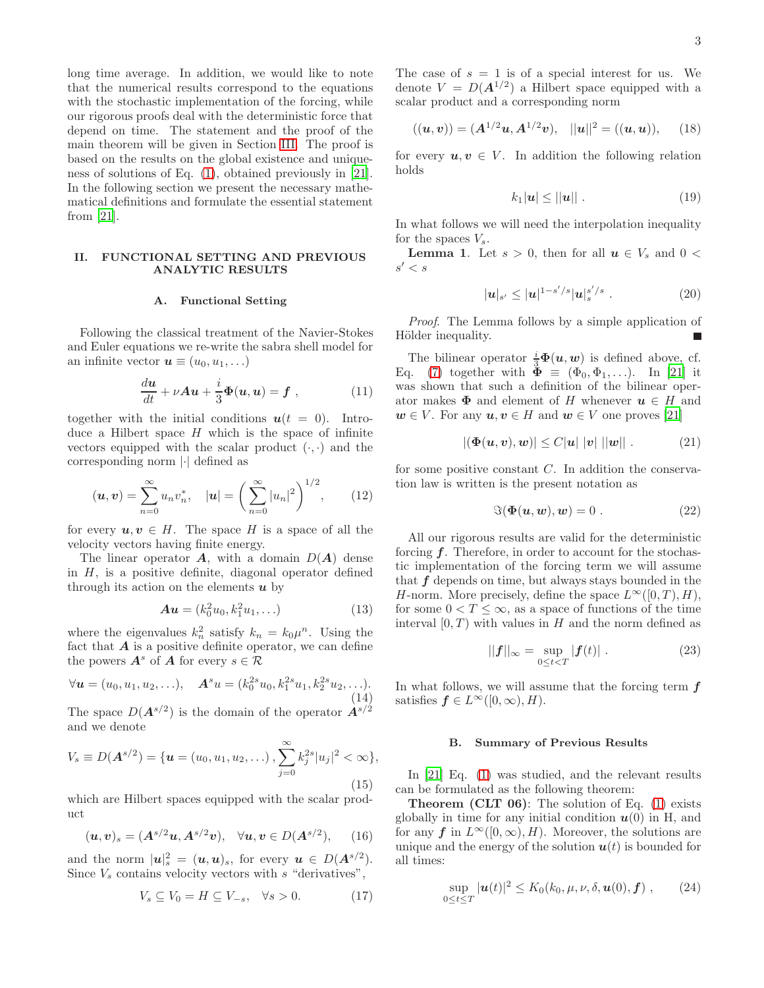long time average. In addition, we would like to note that the numerical results correspond to the equations with the stochastic implementation of the forcing, while our rigorous proofs deal with the deterministic force that depend on time. The statement and the proof of the main theorem will be given in Section [III.](#page-3-0) The proof is based on the results on the global existence and uniqueness of solutions of Eq. [\(1\)](#page-0-1), obtained previously in [\[21\]](#page-6-8). In the following section we present the necessary mathematical definitions and formulate the essential statement from  $|21|$ .

# II. FUNCTIONAL SETTING AND PREVIOUS ANALYTIC RESULTS

# A. Functional Setting

Following the classical treatment of the Navier-Stokes and Euler equations we re-write the sabra shell model for an infinite vector  $u \equiv (u_0, u_1, \ldots)$ 

$$
\frac{du}{dt} + \nu Au + \frac{i}{3}\Phi(u, u) = f , \qquad (11)
$$

together with the initial conditions  $u(t = 0)$ . Introduce a Hilbert space  $H$  which is the space of infinite vectors equipped with the scalar product  $(\cdot, \cdot)$  and the corresponding norm |·| defined as

$$
(\boldsymbol{u}, \boldsymbol{v}) = \sum_{n=0}^{\infty} u_n v_n^*, \quad |\boldsymbol{u}| = \left(\sum_{n=0}^{\infty} |u_n|^2\right)^{1/2}, \qquad (12)
$$

for every  $u, v \in H$ . The space H is a space of all the velocity vectors having finite energy.

The linear operator  $\mathbf{A}$ , with a domain  $D(\mathbf{A})$  dense in  $H$ , is a positive definite, diagonal operator defined through its action on the elements  $\boldsymbol{u}$  by

$$
Au = (k_0^2 u_0, k_1^2 u_1, \ldots) \tag{13}
$$

where the eigenvalues  $k_n^2$  satisfy  $k_n = k_0 \mu^n$ . Using the fact that  $\bm{A}$  is a positive definite operator, we can define the powers  $A^s$  of A for every  $s \in \mathcal{R}$ 

$$
\forall \mathbf{u} = (u_0, u_1, u_2, \ldots), \quad \mathbf{A}^s u = (k_0^{2s} u_0, k_1^{2s} u_1, k_2^{2s} u_2, \ldots).
$$
\n(14)

The space  $D(\mathbf{A}^{s/2})$  is the domain of the operator  $\mathbf{A}^{s/2}$ and we denote

$$
V_s \equiv D(\mathbf{A}^{s/2}) = \{ \mathbf{u} = (u_0, u_1, u_2, \ldots), \sum_{j=0}^{\infty} k_j^{2s} |u_j|^2 < \infty \},\tag{15}
$$

which are Hilbert spaces equipped with the scalar product

$$
(u, v)_s = (A^{s/2}u, A^{s/2}v), \quad \forall u, v \in D(A^{s/2}),
$$
 (16)

and the norm  $|\mathbf{u}|_s^2 = (\mathbf{u}, \mathbf{u})_s$ , for every  $\mathbf{u} \in D(A^{s/2})$ . Since  $V_s$  contains velocity vectors with  $s$  "derivatives",

$$
V_s \subseteq V_0 = H \subseteq V_{-s}, \quad \forall s > 0. \tag{17}
$$

The case of  $s = 1$  is of a special interest for us. We denote  $V = D(\mathbf{A}^{1/2})$  a Hilbert space equipped with a scalar product and a corresponding norm

$$
((u, v)) = (A^{1/2}u, A^{1/2}v), ||u||^2 = ((u, u)),
$$
 (18)

for every  $u, v \in V$ . In addition the following relation holds

<span id="page-2-4"></span>
$$
k_1|\mathbf{u}| \le ||\mathbf{u}|| \tag{19}
$$

In what follows we will need the interpolation inequality for the spaces  $V_s$ .

**Lemma 1.** Let  $s > 0$ , then for all  $u \in V_s$  and  $0 <$  $s' < s$ 

<span id="page-2-5"></span>
$$
|u|_{s'} \le |u|^{1-s'/s} |u|_s^{s'/s} . \tag{20}
$$

Proof. The Lemma follows by a simple application of Hölder inequality.

The bilinear operator  $\frac{i}{3}\Phi(u, w)$  is defined above, cf. Eq. [\(7\)](#page-1-3) together with  $\check{\Phi} \equiv (\Phi_0, \Phi_1, \ldots)$ . In [\[21](#page-6-8)] it was shown that such a definition of the bilinear operator makes  $\Phi$  and element of H whenever  $u \in H$  and  $w \in V$ . For any  $u, v \in H$  and  $w \in V$  one proves [\[21\]](#page-6-8)

<span id="page-2-3"></span>
$$
|(\Phi(u, v), w)| \le C|u| \, |v| \, ||w|| \, . \tag{21}
$$

for some positive constant C. In addition the conservation law is written is the present notation as

<span id="page-2-2"></span>
$$
\Im(\Phi(u, w), w) = 0.
$$
 (22)

All our rigorous results are valid for the deterministic forcing  $f$ . Therefore, in order to account for the stochastic implementation of the forcing term we will assume that  $f$  depends on time, but always stays bounded in the H-norm. More precisely, define the space  $L^{\infty}([0, T), H)$ , for some  $0 < T \leq \infty$ , as a space of functions of the time interval  $[0, T)$  with values in H and the norm defined as

<span id="page-2-0"></span>
$$
||\boldsymbol{f}||_{\infty} = \sup_{0 \le t < T} |\boldsymbol{f}(t)| \ . \tag{23}
$$

In what follows, we will assume that the forcing term  $f$ satisfies  $f \in L^{\infty}([0,\infty), H)$ .

#### B. Summary of Previous Results

In [\[21\]](#page-6-8) Eq. [\(1\)](#page-0-1) was studied, and the relevant results can be formulated as the following theorem:

**Theorem (CLT 06):** The solution of Eq.  $(1)$  exists globally in time for any initial condition  $u(0)$  in H, and for any f in  $L^{\infty}([0,\infty), H)$ . Moreover, the solutions are unique and the energy of the solution  $u(t)$  is bounded for all times:

<span id="page-2-1"></span>
$$
\sup_{0\leq t\leq T} |\boldsymbol{u}(t)|^2 \leq K_0(k_0,\mu,\nu,\delta,\boldsymbol{u}(0),\boldsymbol{f}) ,\qquad (24)
$$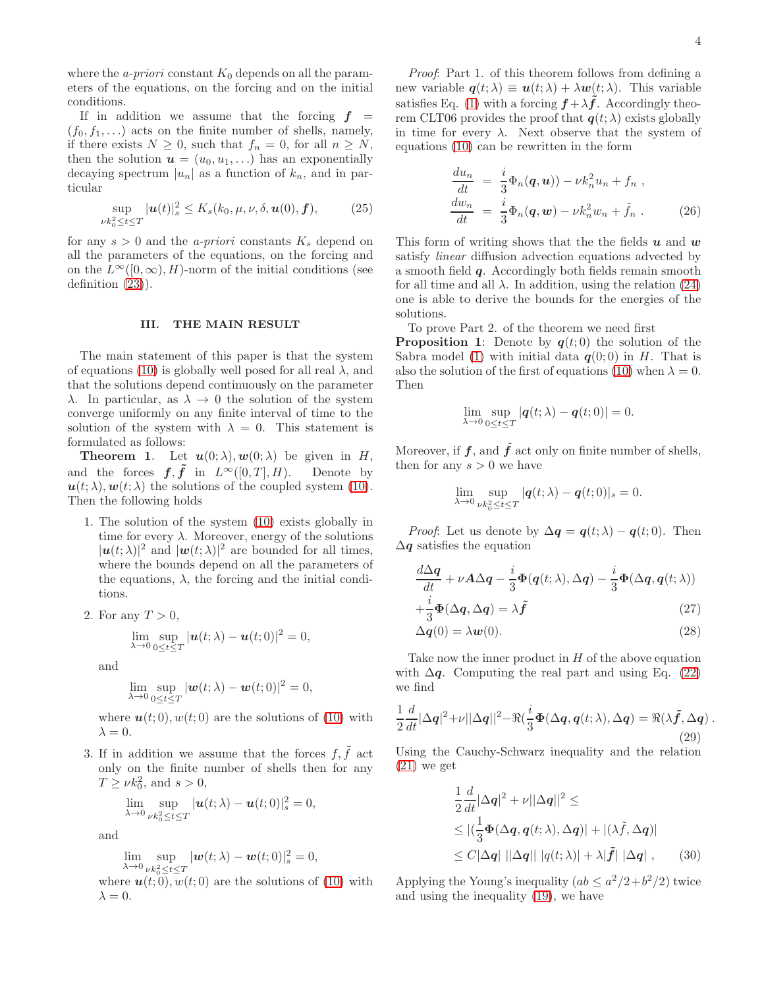where the *a-priori* constant  $K_0$  depends on all the parameters of the equations, on the forcing and on the initial conditions.

If in addition we assume that the forcing  $f =$  $(f_0, f_1, \ldots)$  acts on the finite number of shells, namely, if there exists  $N \geq 0$ , such that  $f_n = 0$ , for all  $n \geq N$ , then the solution  $u = (u_0, u_1, \ldots)$  has an exponentially decaying spectrum  $|u_n|$  as a function of  $k_n$ , and in particular

$$
\sup_{\nu k_0^2 \le t \le T} |\boldsymbol{u}(t)|_s^2 \le K_s(k_0, \mu, \nu, \delta, \boldsymbol{u}(0), \boldsymbol{f}),\tag{25}
$$

for any  $s > 0$  and the *a-priori* constants  $K_s$  depend on all the parameters of the equations, on the forcing and on the  $L^{\infty}([0,\infty), H)$ -norm of the initial conditions (see definition [\(23\)](#page-2-0)).

### <span id="page-3-0"></span>III. THE MAIN RESULT

The main statement of this paper is that the system of equations [\(10\)](#page-1-1) is globally well posed for all real  $\lambda$ , and that the solutions depend continuously on the parameter λ. In particular, as λ → 0 the solution of the system converge uniformly on any finite interval of time to the solution of the system with  $\lambda = 0$ . This statement is formulated as follows:

**Theorem 1.** Let  $u(0; \lambda), w(0; \lambda)$  be given in H, and the forces  $f, \tilde{f}$  in  $L^{\infty}([0, T], H)$ . Denote by  $u(t; \lambda), w(t; \lambda)$  the solutions of the coupled system [\(10\)](#page-1-1). Then the following holds

1. The solution of the system [\(10\)](#page-1-1) exists globally in time for every  $\lambda$ . Moreover, energy of the solutions  $|\mathbf{u}(t;\lambda)|^2$  and  $|\mathbf{w}(t;\lambda)|^2$  are bounded for all times, where the bounds depend on all the parameters of the equations,  $\lambda$ , the forcing and the initial conditions.

2. For any 
$$
T > 0
$$
,

$$
\lim_{\lambda \to 0} \sup_{0 \le t \le T} |u(t; \lambda) - u(t; 0)|^2 = 0,
$$

and

$$
\lim_{\lambda \to 0} \sup_{0 \le t \le T} |\mathbf{w}(t;\lambda) - \mathbf{w}(t;0)|^2 = 0,
$$

where  $u(t; 0)$ ,  $w(t; 0)$  are the solutions of [\(10\)](#page-1-1) with  $\lambda = 0$ .

3. If in addition we assume that the forces  $f, \tilde{f}$  act only on the finite number of shells then for any  $T \geq \nu k_0^2$ , and  $s > 0$ ,

$$
\lim_{\lambda \to 0} \sup_{\nu k_0^2 \le t \le T} |\mathbf{u}(t;\lambda) - \mathbf{u}(t;0)|_s^2 = 0,
$$

and

$$
\lim_{\lambda \to 0} \sup_{\nu k_0^2 \le t \le T} |\boldsymbol{w}(t; \lambda) - \boldsymbol{w}(t; 0)|_s^2 = 0,
$$

where  $u(t; 0)$ ,  $w(t; 0)$  are the solutions of [\(10\)](#page-1-1) with  $\lambda = 0$ .

Proof: Part 1. of this theorem follows from defining a new variable  $q(t; \lambda) \equiv u(t; \lambda) + \lambda w(t; \lambda)$ . This variable satisfies Eq. [\(1\)](#page-0-1) with a forcing  $f + \lambda \tilde{f}$ . Accordingly theorem CLT06 provides the proof that  $q(t; \lambda)$  exists globally in time for every  $\lambda$ . Next observe that the system of equations [\(10\)](#page-1-1) can be rewritten in the form

<span id="page-3-1"></span>
$$
\frac{du_n}{dt} = \frac{i}{3}\Phi_n(\boldsymbol{q}, \boldsymbol{u}) - \nu k_n^2 u_n + f_n ,
$$
  
\n
$$
\frac{dw_n}{dt} = \frac{i}{3}\Phi_n(\boldsymbol{q}, \boldsymbol{w}) - \nu k_n^2 w_n + \tilde{f}_n .
$$
 (26)

This form of writing shows that the the fields  $u$  and  $w$ satisfy linear diffusion advection equations advected by a smooth field q. Accordingly both fields remain smooth for all time and all  $\lambda$ . In addition, using the relation [\(24\)](#page-2-1) one is able to derive the bounds for the energies of the solutions.

To prove Part 2. of the theorem we need first

**Proposition 1:** Denote by  $q(t; 0)$  the solution of the Sabra model [\(1\)](#page-0-1) with initial data  $q(0,0)$  in H. That is also the solution of the first of equations [\(10\)](#page-1-1) when  $\lambda = 0$ . Then

$$
\lim_{\lambda \to 0} \sup_{0 \le t \le T} |q(t; \lambda) - q(t; 0)| = 0.
$$

Moreover, if  $f$ , and  $f$  act only on finite number of shells, then for any  $s > 0$  we have

$$
\lim_{\lambda \to 0} \sup_{\nu k_0^2 \le t \le T} |q(t; \lambda) - q(t; 0)|_s = 0.
$$

*Proof*: Let us denote by  $\Delta q = q(t; \lambda) - q(t; 0)$ . Then  $\Delta q$  satisfies the equation

$$
\frac{d\Delta q}{dt} + \nu A \Delta q - \frac{i}{3} \Phi(q(t; \lambda), \Delta q) - \frac{i}{3} \Phi(\Delta q, q(t; \lambda)) \n+ \frac{i}{3} \Phi(\Delta q, \Delta q) = \lambda \tilde{f}
$$
\n(27)

$$
\Delta q(0) = \lambda w(0). \tag{28}
$$

Take now the inner product in  $H$  of the above equation with  $\Delta q$ . Computing the real part and using Eq. [\(22\)](#page-2-2) we find

$$
\frac{1}{2}\frac{d}{dt}|\Delta q|^2 + \nu ||\Delta q||^2 - \Re(\frac{i}{3}\Phi(\Delta q, q(t; \lambda), \Delta q) = \Re(\lambda \tilde{f}, \Delta q) .
$$
\n(29)

Using the Cauchy-Schwarz inequality and the relation [\(21\)](#page-2-3) we get

$$
\frac{1}{2}\frac{d}{dt}|\Delta q|^2 + \nu||\Delta q||^2 \le
$$
\n
$$
\leq |(\frac{1}{3}\Phi(\Delta q, q(t; \lambda), \Delta q)| + |(\lambda \tilde{f}, \Delta q)|
$$
\n
$$
\leq C|\Delta q| ||\Delta q|| |q(t; \lambda)| + \lambda |\tilde{f}| |\Delta q| , \qquad (30)
$$

Applying the Young's inequality  $(ab \leq a^2/2+b^2/2)$  twice and using the inequality [\(19\)](#page-2-4), we have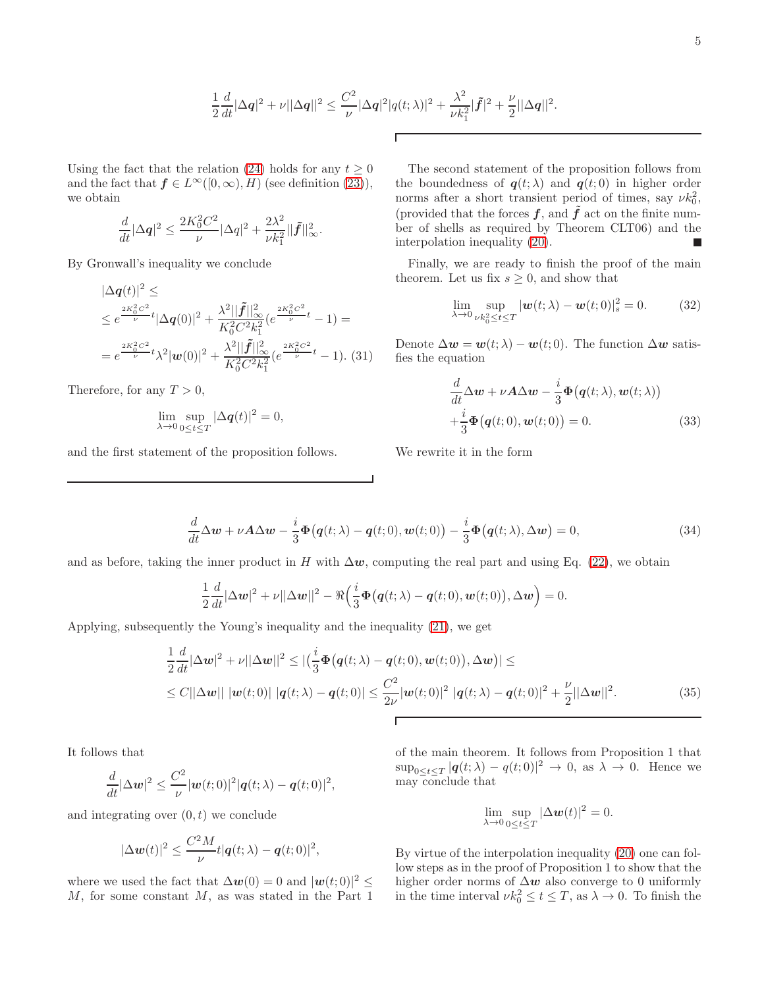$$
\frac{1}{2}\frac{d}{dt}|\Delta q|^2 + \nu||\Delta q||^2 \leq \frac{C^2}{\nu}|\Delta q|^2|q(t;\lambda)|^2 + \frac{\lambda^2}{\nu k_1^2}|\tilde{f}|^2 + \frac{\nu}{2}||\Delta q||^2.
$$

Using the fact that the relation [\(24\)](#page-2-1) holds for any  $t \geq 0$ and the fact that  $f \in L^{\infty}([0,\infty), H)$  (see definition [\(23\)](#page-2-0)), we obtain

$$
\frac{d}{dt}|\Delta \mathbf{q}|^2 \leq \frac{2K_0^2 C^2}{\nu} |\Delta q|^2 + \frac{2\lambda^2}{\nu k_1^2} ||\tilde{\mathbf{f}}||_\infty^2.
$$

By Gronwall's inequality we conclude

$$
|\Delta \mathbf{q}(t)|^2 \le
$$
  
\n
$$
\leq e^{\frac{2K_0^2 C^2}{\nu}t} |\Delta \mathbf{q}(0)|^2 + \frac{\lambda^2 ||\tilde{\mathbf{f}}||_{\infty}^2}{K_0^2 C^2 k_1^2} (e^{\frac{2K_0^2 C^2}{\nu}t} - 1) =
$$
  
\n
$$
= e^{\frac{2K_0^2 C^2}{\nu}t} \lambda^2 |\mathbf{w}(0)|^2 + \frac{\lambda^2 ||\tilde{\mathbf{f}}||_{\infty}^2}{K_0^2 C^2 k_1^2} (e^{\frac{2K_0^2 C^2}{\nu}t} - 1). (31)
$$

Therefore, for any  $T > 0$ ,

$$
\lim_{\lambda \to 0} \sup_{0 \le t \le T} |\Delta \mathbf{q}(t)|^2 = 0,
$$

and the first statement of the proposition follows.

The second statement of the proposition follows from the boundedness of  $q(t; \lambda)$  and  $q(t; 0)$  in higher order norms after a short transient period of times, say  $\nu k_0^2$ , (provided that the forces  $f$ , and  $\tilde{f}$  act on the finite number of shells as required by Theorem CLT06) and the interpolation inequality [\(20\)](#page-2-5).

Finally, we are ready to finish the proof of the main theorem. Let us fix  $s \geq 0$ , and show that

$$
\lim_{\lambda \to 0} \sup_{\nu k_0^2 \le t \le T} |\boldsymbol{w}(t; \lambda) - \boldsymbol{w}(t; 0)|_s^2 = 0.
$$
 (32)

Denote  $\Delta w = w(t; \lambda) - w(t; 0)$ . The function  $\Delta w$  satisfies the equation

$$
\frac{d}{dt}\Delta w + \nu A \Delta w - \frac{i}{3}\Phi(q(t; \lambda), w(t; \lambda))
$$

$$
+\frac{i}{3}\Phi(q(t; 0), w(t; 0)) = 0.
$$
 (33)

We rewrite it in the form

$$
\frac{d}{dt}\Delta w + \nu A \Delta w - \frac{i}{3}\Phi(q(t;\lambda) - q(t;0), w(t;0)) - \frac{i}{3}\Phi(q(t;\lambda), \Delta w) = 0,
$$
\n(34)

and as before, taking the inner product in H with  $\Delta w$ , computing the real part and using Eq. [\(22\)](#page-2-2), we obtain

$$
\frac{1}{2}\frac{d}{dt}|\Delta w|^2 + \nu||\Delta w||^2 - \Re\left(\frac{i}{3}\Phi(q(t;\lambda) - q(t;0), w(t;0)), \Delta w\right) = 0.
$$

Applying, subsequently the Young's inequality and the inequality [\(21\)](#page-2-3), we get

$$
\frac{1}{2}\frac{d}{dt}|\Delta w|^2 + \nu||\Delta w||^2 \le |\left(\frac{i}{3}\Phi(q(t;\lambda) - q(t;0), w(t;0)), \Delta w\right)| \le
$$
\n
$$
\le C||\Delta w|| \, |w(t;0)| \, |q(t;\lambda) - q(t;0)| \le \frac{C^2}{2\nu}|w(t;0)|^2 \, |q(t;\lambda) - q(t;0)|^2 + \frac{\nu}{2}||\Delta w||^2. \tag{35}
$$

It follows that

$$
\frac{d}{dt}|\Delta \mathbf{w}|^2 \leq \frac{C^2}{\nu} |\mathbf{w}(t;0)|^2 |\mathbf{q}(t;\lambda) - \mathbf{q}(t;0)|^2,
$$

and integrating over  $(0, t)$  we conclude

$$
|\Delta \boldsymbol{w}(t)|^2 \leq \frac{C^2 M}{\nu} t |\boldsymbol{q}(t;\lambda) - \boldsymbol{q}(t;0)|^2,
$$

where we used the fact that  $\Delta w(0) = 0$  and  $|w(t; 0)|^2 \leq$  $M$ , for some constant  $M$ , as was stated in the Part 1

of the main theorem. It follows from Proposition 1 that  $\sup_{0 \leq t \leq T} |q(t; \lambda) - q(t; 0)|^2 \to 0$ , as  $\lambda \to 0$ . Hence we may conclude that

$$
\lim_{\lambda \to 0} \sup_{0 \le t \le T} |\Delta \boldsymbol{w}(t)|^2 = 0.
$$

By virtue of the interpolation inequality [\(20\)](#page-2-5) one can follow steps as in the proof of Proposition 1 to show that the higher order norms of  $\Delta w$  also converge to 0 uniformly in the time interval  $\nu k_0^2 \le t \le T$ , as  $\lambda \to 0$ . To finish the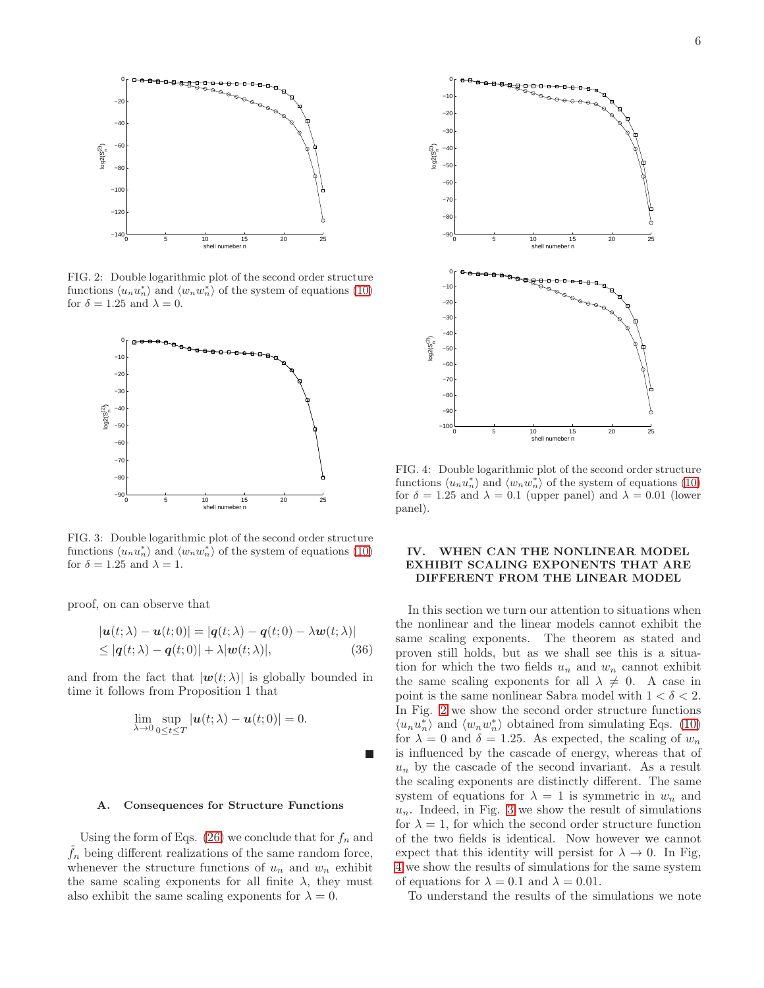

<span id="page-5-1"></span>FIG. 2: Double logarithmic plot of the second order structure functions  $\langle u_n u_n^* \rangle$  and  $\langle w_n w_n^* \rangle$  of the system of equations [\(10\)](#page-1-1) for  $\delta = 1.25$  and  $\lambda = 0$ .



<span id="page-5-2"></span>FIG. 3: Double logarithmic plot of the second order structure functions  $\langle u_n u_n^* \rangle$  and  $\langle w_n w_n^* \rangle$  of the system of equations [\(10\)](#page-1-1) for  $\delta=1.25$  and  $\lambda=1.$ 

proof, on can observe that

$$
|\boldsymbol{u}(t;\lambda) - \boldsymbol{u}(t;0)| = |\boldsymbol{q}(t;\lambda) - \boldsymbol{q}(t;0) - \lambda \boldsymbol{w}(t;\lambda)|
$$
  
\$\leq |\boldsymbol{q}(t;\lambda) - \boldsymbol{q}(t;0)| + \lambda |\boldsymbol{w}(t;\lambda)|\$, \qquad (36)

and from the fact that  $|\mathbf{w}(t; \lambda)|$  is globally bounded in time it follows from Proposition 1 that

$$
\lim_{\lambda \to 0} \sup_{0 \le t \le T} |u(t; \lambda) - u(t; 0)| = 0.
$$

#### A. Consequences for Structure Functions

Using the form of Eqs. [\(26\)](#page-3-1) we conclude that for  $f_n$  and  $f_n$  being different realizations of the same random force, whenever the structure functions of  $u_n$  and  $w_n$  exhibit the same scaling exponents for all finite  $\lambda$ , they must also exhibit the same scaling exponents for  $\lambda = 0$ .



<span id="page-5-3"></span>FIG. 4: Double logarithmic plot of the second order structure functions  $\langle u_n u_n^* \rangle$  and  $\langle w_n w_n^* \rangle$  of the system of equations [\(10\)](#page-1-1) for  $\delta = 1.25$  and  $\lambda = 0.1$  (upper panel) and  $\lambda = 0.01$  (lower panel).

# <span id="page-5-0"></span>IV. WHEN CAN THE NONLINEAR MODEL EXHIBIT SCALING EXPONENTS THAT ARE DIFFERENT FROM THE LINEAR MODEL

In this section we turn our attention to situations when the nonlinear and the linear models cannot exhibit the same scaling exponents. The theorem as stated and proven still holds, but as we shall see this is a situation for which the two fields  $u_n$  and  $w_n$  cannot exhibit the same scaling exponents for all  $\lambda \neq 0$ . A case in point is the same nonlinear Sabra model with  $1 < \delta < 2$ . In Fig. [2](#page-5-1) we show the second order structure functions  $\langle u_n u_n^* \rangle$  and  $\langle w_n w_n^* \rangle$  obtained from simulating Eqs. [\(10\)](#page-1-1) for  $\lambda = 0$  and  $\delta = 1.25$ . As expected, the scaling of  $w_n$ is influenced by the cascade of energy, whereas that of  $u_n$  by the cascade of the second invariant. As a result the scaling exponents are distinctly different. The same system of equations for  $\lambda = 1$  is symmetric in  $w_n$  and  $u_n$ . Indeed, in Fig. [3](#page-5-2) we show the result of simulations for  $\lambda = 1$ , for which the second order structure function of the two fields is identical. Now however we cannot expect that this identity will persist for  $\lambda \to 0$ . In Fig. [4](#page-5-3) we show the results of simulations for the same system of equations for  $\lambda = 0.1$  and  $\lambda = 0.01$ .

To understand the results of the simulations we note